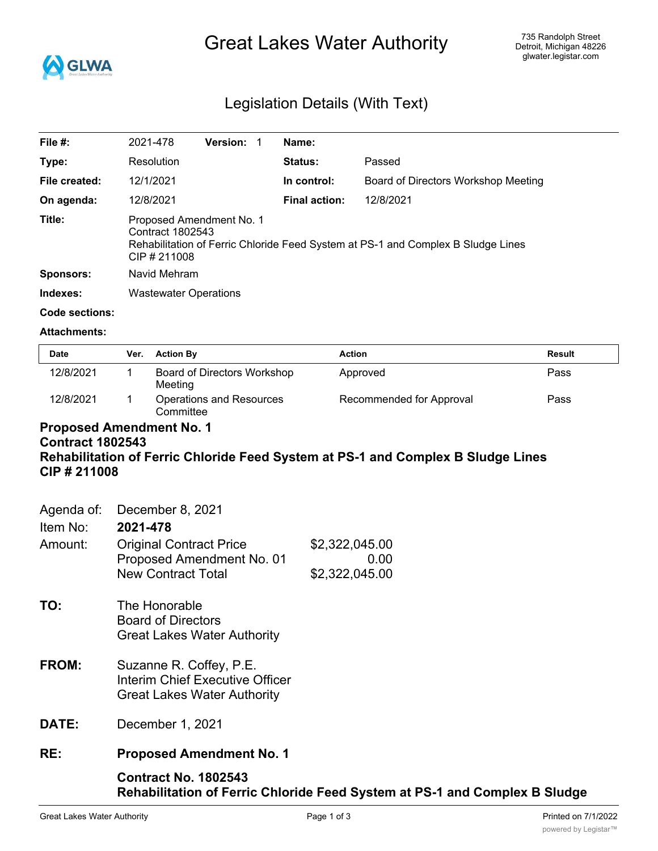

# Great Lakes Water Authority

## Legislation Details (With Text)

| File $#$ :            | 2021-478                                                                                                                                       | <b>Version:</b> | Name:                |                                     |
|-----------------------|------------------------------------------------------------------------------------------------------------------------------------------------|-----------------|----------------------|-------------------------------------|
| Type:                 | Resolution                                                                                                                                     |                 | Status:              | Passed                              |
| File created:         | 12/1/2021                                                                                                                                      |                 | In control:          | Board of Directors Workshop Meeting |
| On agenda:            | 12/8/2021                                                                                                                                      |                 | <b>Final action:</b> | 12/8/2021                           |
| Title:                | Proposed Amendment No. 1<br>Contract 1802543<br>Rehabilitation of Ferric Chloride Feed System at PS-1 and Complex B Sludge Lines<br>CIP#211008 |                 |                      |                                     |
| <b>Sponsors:</b>      | Navid Mehram                                                                                                                                   |                 |                      |                                     |
| Indexes:              | <b>Wastewater Operations</b>                                                                                                                   |                 |                      |                                     |
| <b>Code sections:</b> |                                                                                                                                                |                 |                      |                                     |

#### **Attachments:**

| <b>Date</b> | Ver. | <b>Action By</b>                       | <b>Action</b>            | Result |
|-------------|------|----------------------------------------|--------------------------|--------|
| 12/8/2021   |      | Board of Directors Workshop<br>Meeting | Approved                 | Pass   |
| 12/8/2021   |      | Operations and Resources<br>Committee  | Recommended for Approval | Pass   |

## **Proposed Amendment No. 1 Contract 1802543 Rehabilitation of Ferric Chloride Feed System at PS-1 and Complex B Sludge Lines CIP # 211008**

| Agenda of:<br>Item No: | December 8, 2021<br>2021-478                                                                            |                                                                            |  |
|------------------------|---------------------------------------------------------------------------------------------------------|----------------------------------------------------------------------------|--|
| Amount:                | <b>Original Contract Price</b><br>Proposed Amendment No. 01<br><b>New Contract Total</b>                | \$2,322,045.00<br>0.00<br>\$2,322,045.00                                   |  |
| TO:                    | The Honorable<br><b>Board of Directors</b><br><b>Great Lakes Water Authority</b>                        |                                                                            |  |
| FROM:                  | Suzanne R. Coffey, P.E.<br><b>Interim Chief Executive Officer</b><br><b>Great Lakes Water Authority</b> |                                                                            |  |
| DATE:                  | December 1, 2021                                                                                        |                                                                            |  |
| RE:                    | <b>Proposed Amendment No. 1</b>                                                                         |                                                                            |  |
|                        | <b>Contract No. 1802543</b>                                                                             | Rehabilitation of Ferric Chloride Feed System at PS-1 and Complex B Sludge |  |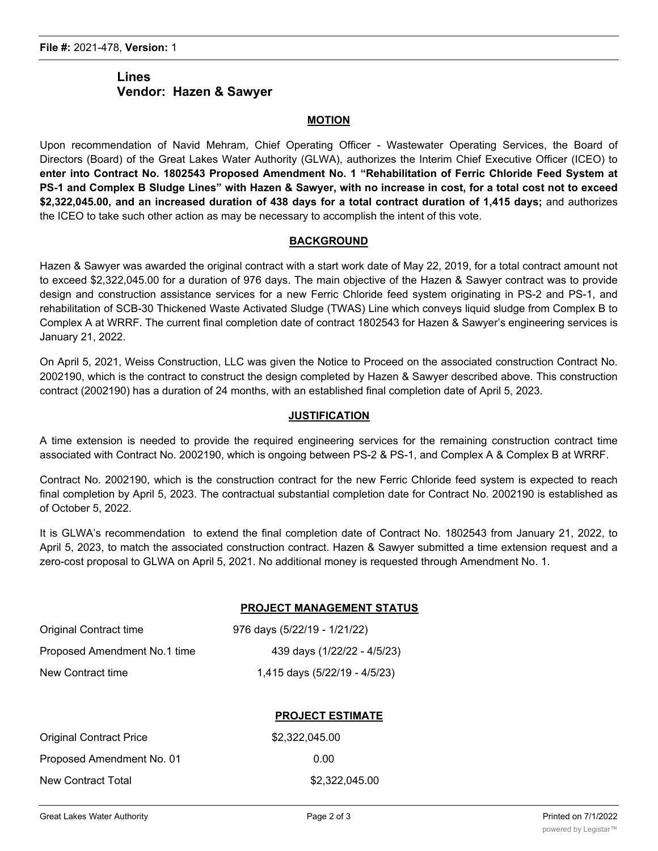## **Lines Vendor: Hazen & Sawyer**

#### **MOTION**

Upon recommendation of Navid Mehram, Chief Operating Officer - Wastewater Operating Services, the Board of Directors (Board) of the Great Lakes Water Authority (GLWA), authorizes the Interim Chief Executive Officer (ICEO) to **enter into Contract No. 1802543 Proposed Amendment No. 1 "Rehabilitation of Ferric Chloride Feed System at** PS-1 and Complex B Sludge Lines" with Hazen & Sawyer, with no increase in cost, for a total cost not to exceed **\$2,322,045.00, and an increased duration of 438 days for a total contract duration of 1,415 days;** and authorizes the ICEO to take such other action as may be necessary to accomplish the intent of this vote.

#### **BACKGROUND**

Hazen & Sawyer was awarded the original contract with a start work date of May 22, 2019, for a total contract amount not to exceed \$2,322,045.00 for a duration of 976 days. The main objective of the Hazen & Sawyer contract was to provide design and construction assistance services for a new Ferric Chloride feed system originating in PS-2 and PS-1, and rehabilitation of SCB-30 Thickened Waste Activated Sludge (TWAS) Line which conveys liquid sludge from Complex B to Complex A at WRRF. The current final completion date of contract 1802543 for Hazen & Sawyer's engineering services is January 21, 2022.

On April 5, 2021, Weiss Construction, LLC was given the Notice to Proceed on the associated construction Contract No. 2002190, which is the contract to construct the design completed by Hazen & Sawyer described above. This construction contract (2002190) has a duration of 24 months, with an established final completion date of April 5, 2023.

#### **JUSTIFICATION**

A time extension is needed to provide the required engineering services for the remaining construction contract time associated with Contract No. 2002190, which is ongoing between PS-2 & PS-1, and Complex A & Complex B at WRRF.

Contract No. 2002190, which is the construction contract for the new Ferric Chloride feed system is expected to reach final completion by April 5, 2023. The contractual substantial completion date for Contract No. 2002190 is established as of October 5, 2022.

It is GLWA's recommendation to extend the final completion date of Contract No. 1802543 from January 21, 2022, to April 5, 2023, to match the associated construction contract. Hazen & Sawyer submitted a time extension request and a zero-cost proposal to GLWA on April 5, 2021. No additional money is requested through Amendment No. 1.

#### **PROJECT MANAGEMENT STATUS**

| Original Contract time       | 976 days (5/22/19 - 1/21/22)  |
|------------------------------|-------------------------------|
| Proposed Amendment No.1 time | 439 days (1/22/22 - 4/5/23)   |
| New Contract time            | 1,415 days (5/22/19 - 4/5/23) |

#### **PROJECT ESTIMATE**

| Original Contract Price   | \$2.322.045.00 |
|---------------------------|----------------|
| Proposed Amendment No. 01 | 0.00           |
| New Contract Total        | \$2.322.045.00 |